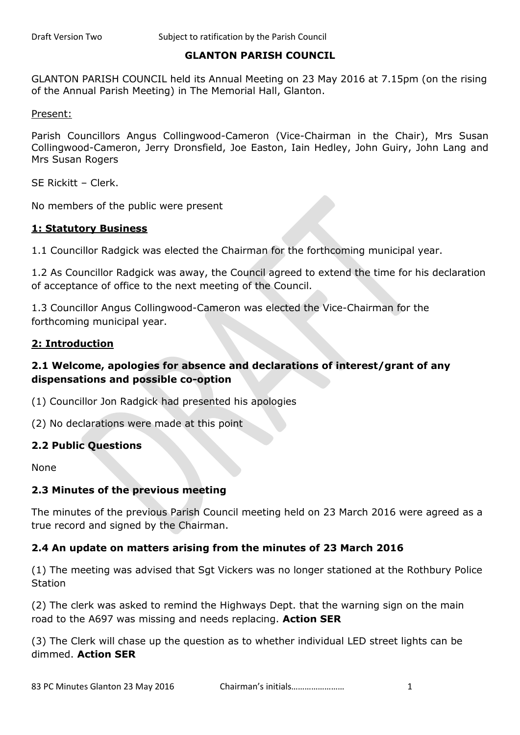### **GLANTON PARISH COUNCIL**

GLANTON PARISH COUNCIL held its Annual Meeting on 23 May 2016 at 7.15pm (on the rising of the Annual Parish Meeting) in The Memorial Hall, Glanton.

Present:

Parish Councillors Angus Collingwood-Cameron (Vice-Chairman in the Chair), Mrs Susan Collingwood-Cameron, Jerry Dronsfield, Joe Easton, Iain Hedley, John Guiry, John Lang and Mrs Susan Rogers

SE Rickitt – Clerk.

No members of the public were present

### **1: Statutory Business**

1.1 Councillor Radgick was elected the Chairman for the forthcoming municipal year.

1.2 As Councillor Radgick was away, the Council agreed to extend the time for his declaration of acceptance of office to the next meeting of the Council.

1.3 Councillor Angus Collingwood-Cameron was elected the Vice-Chairman for the forthcoming municipal year.

#### **2: Introduction**

## **2.1 Welcome, apologies for absence and declarations of interest/grant of any dispensations and possible co-option**

(1) Councillor Jon Radgick had presented his apologies

(2) No declarations were made at this point

### **2.2 Public Questions**

None

### **2.3 Minutes of the previous meeting**

The minutes of the previous Parish Council meeting held on 23 March 2016 were agreed as a true record and signed by the Chairman.

### **2.4 An update on matters arising from the minutes of 23 March 2016**

(1) The meeting was advised that Sgt Vickers was no longer stationed at the Rothbury Police Station

(2) The clerk was asked to remind the Highways Dept. that the warning sign on the main road to the A697 was missing and needs replacing. **Action SER**

(3) The Clerk will chase up the question as to whether individual LED street lights can be dimmed. **Action SER**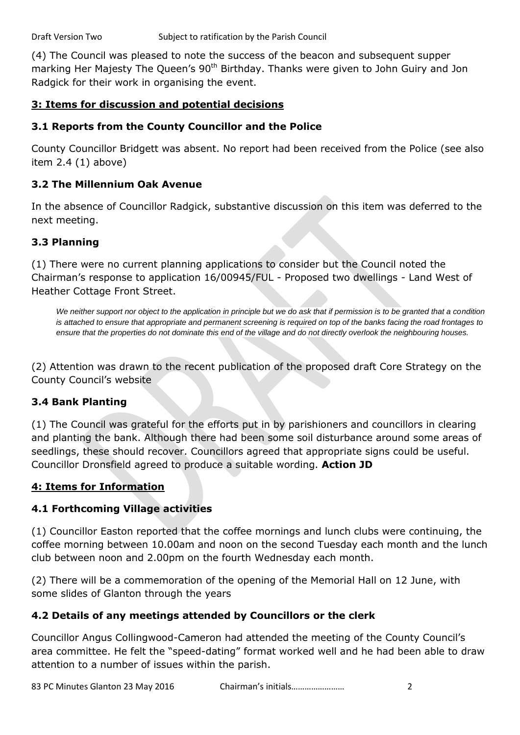(4) The Council was pleased to note the success of the beacon and subsequent supper marking Her Majesty The Queen's 90<sup>th</sup> Birthday. Thanks were given to John Guiry and Jon Radgick for their work in organising the event.

## **3: Items for discussion and potential decisions**

## **3.1 Reports from the County Councillor and the Police**

County Councillor Bridgett was absent. No report had been received from the Police (see also item 2.4 (1) above)

## **3.2 The Millennium Oak Avenue**

In the absence of Councillor Radgick, substantive discussion on this item was deferred to the next meeting.

## **3.3 Planning**

(1) There were no current planning applications to consider but the Council noted the Chairman's response to application 16/00945/FUL - Proposed two dwellings - Land West of Heather Cottage Front Street.

We neither support nor object to the application in principle but we do ask that if permission is to be granted that a condition *is attached to ensure that appropriate and permanent screening is required on top of the banks facing the road frontages to ensure that the properties do not dominate this end of the village and do not directly overlook the neighbouring houses.*

(2) Attention was drawn to the recent publication of the proposed draft Core Strategy on the County Council's website

# **3.4 Bank Planting**

(1) The Council was grateful for the efforts put in by parishioners and councillors in clearing and planting the bank. Although there had been some soil disturbance around some areas of seedlings, these should recover. Councillors agreed that appropriate signs could be useful. Councillor Dronsfield agreed to produce a suitable wording. **Action JD**

## **4: Items for Information**

# **4.1 Forthcoming Village activities**

(1) Councillor Easton reported that the coffee mornings and lunch clubs were continuing, the coffee morning between 10.00am and noon on the second Tuesday each month and the lunch club between noon and 2.00pm on the fourth Wednesday each month.

(2) There will be a commemoration of the opening of the Memorial Hall on 12 June, with some slides of Glanton through the years

# **4.2 Details of any meetings attended by Councillors or the clerk**

Councillor Angus Collingwood-Cameron had attended the meeting of the County Council's area committee. He felt the "speed-dating" format worked well and he had been able to draw attention to a number of issues within the parish.

83 PC Minutes Glanton 23 May 2016 Chairman's initials…………………… 2